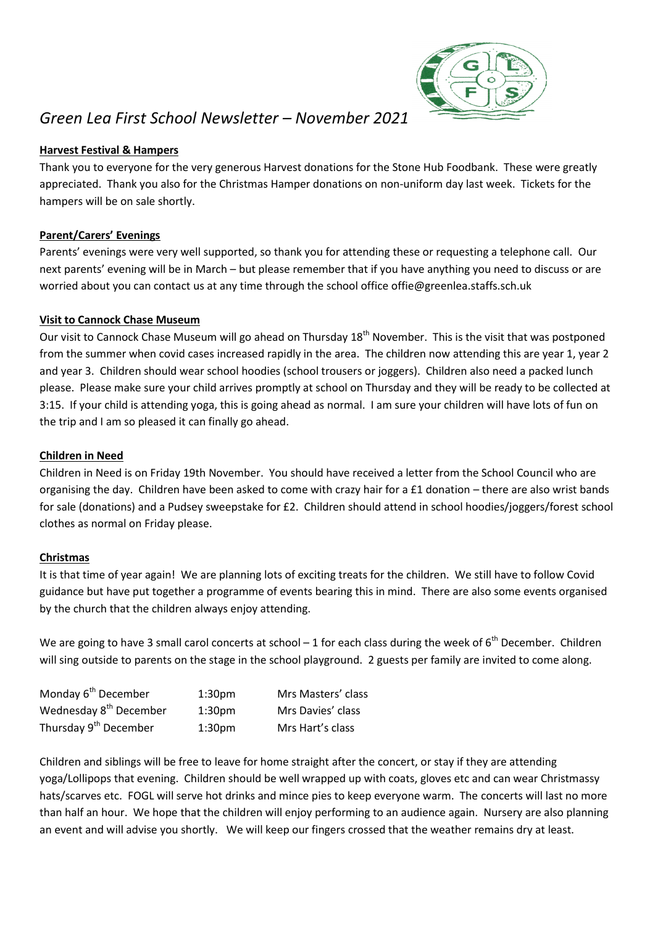

# *Green Lea First School Newsletter – November 2021*

# **Harvest Festival & Hampers**

Thank you to everyone for the very generous Harvest donations for the Stone Hub Foodbank. These were greatly appreciated. Thank you also for the Christmas Hamper donations on non-uniform day last week. Tickets for the hampers will be on sale shortly.

## **Parent/Carers' Evenings**

Parents' evenings were very well supported, so thank you for attending these or requesting a telephone call. Our next parents' evening will be in March – but please remember that if you have anything you need to discuss or are worried about you can contact us at any time through the school office offie@greenlea.staffs.sch.uk

### **Visit to Cannock Chase Museum**

Our visit to Cannock Chase Museum will go ahead on Thursday 18<sup>th</sup> November. This is the visit that was postponed from the summer when covid cases increased rapidly in the area. The children now attending this are year 1, year 2 and year 3. Children should wear school hoodies (school trousers or joggers). Children also need a packed lunch please. Please make sure your child arrives promptly at school on Thursday and they will be ready to be collected at 3:15. If your child is attending yoga, this is going ahead as normal. I am sure your children will have lots of fun on the trip and I am so pleased it can finally go ahead.

## **Children in Need**

Children in Need is on Friday 19th November. You should have received a letter from the School Council who are organising the day. Children have been asked to come with crazy hair for a £1 donation – there are also wrist bands for sale (donations) and a Pudsey sweepstake for £2. Children should attend in school hoodies/joggers/forest school clothes as normal on Friday please.

# **Christmas**

It is that time of year again! We are planning lots of exciting treats for the children. We still have to follow Covid guidance but have put together a programme of events bearing this in mind. There are also some events organised by the church that the children always enjoy attending.

We are going to have 3 small carol concerts at school  $-1$  for each class during the week of  $6<sup>th</sup>$  December. Children will sing outside to parents on the stage in the school playground. 2 guests per family are invited to come along.

| Monday 6 <sup>th</sup> December    | 1:30 <sub>pm</sub> | Mrs Masters' class |
|------------------------------------|--------------------|--------------------|
| Wednesday 8 <sup>th</sup> December | 1:30 <sub>pm</sub> | Mrs Davies' class  |
| Thursday 9 <sup>th</sup> December  | 1:30 <sub>pm</sub> | Mrs Hart's class   |

Children and siblings will be free to leave for home straight after the concert, or stay if they are attending yoga/Lollipops that evening. Children should be well wrapped up with coats, gloves etc and can wear Christmassy hats/scarves etc. FOGL will serve hot drinks and mince pies to keep everyone warm. The concerts will last no more than half an hour. We hope that the children will enjoy performing to an audience again. Nursery are also planning an event and will advise you shortly. We will keep our fingers crossed that the weather remains dry at least.